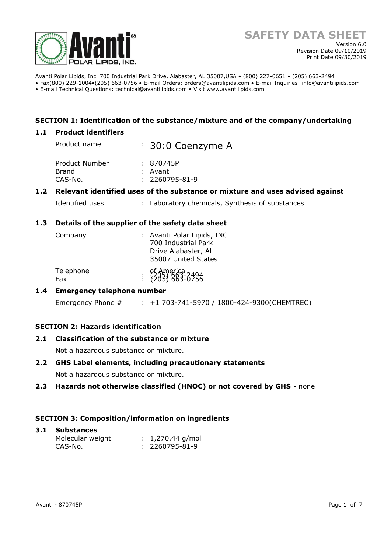

Avanti Polar Lipids, Inc. 700 Industrial Park Drive, Alabaster, AL 35007,USA • (800) 227-0651 • (205) 663-2494 • Fax(800) 229-1004•(205) 663-0756 • E-mail Orders: orders@avantilipids.com • E-mail Inquiries: info@avantilipids.com

• E-mail Technical Questions: technical@avantilipids.com • Visit www.avantilipids.com

# **SECTION 1: Identification of the substance/mixture and of the company/undertaking**

### **1.1 Product identifiers**

Product name : 30:0 Coenzyme A Product Number : 870745P Brand : Avanti CAS-No. : 2260795-81-9

# **1.2 Relevant identified uses of the substance or mixture and uses advised against**

Identified uses : Laboratory chemicals, Synthesis of substances

### **1.3 Details of the supplier of the safety data sheet**

| Company          | : Avanti Polar Lipids, INC<br>700 Industrial Park<br>Drive Alabaster, Al<br>35007 United States |
|------------------|-------------------------------------------------------------------------------------------------|
| Telephone<br>Fax | of America<br>: (205) 663-0756<br>: (205) 663-0756                                              |

# **1.4 Emergency telephone number**

Emergency Phone # : +1 703-741-5970 / 1800-424-9300(CHEMTREC)

# **SECTION 2: Hazards identification**

# **2.1 Classification of the substance or mixture**

Not a hazardous substance or mixture.

### **2.2 GHS Label elements, including precautionary statements**

Not a hazardous substance or mixture.

### **2.3 Hazards not otherwise classified (HNOC) or not covered by GHS** - none

### **SECTION 3: Composition/information on ingredients**

#### **3.1 Substances**  Molecular weight : 1,270.44 g/mol CAS-No. : 2260795-81-9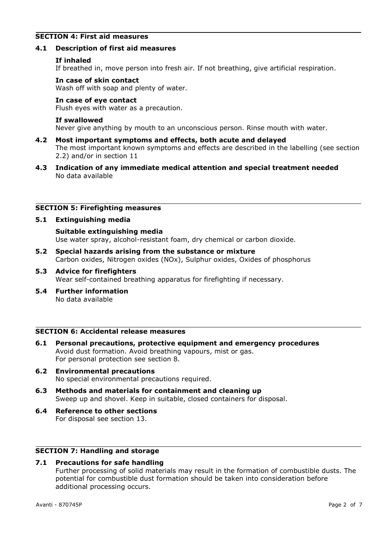# **SECTION 4: First aid measures**

### **4.1 Description of first aid measures**

### **If inhaled**

If breathed in, move person into fresh air. If not breathing, give artificial respiration.

### **In case of skin contact**

Wash off with soap and plenty of water.

### **In case of eye contact**

Flush eyes with water as a precaution.

### **If swallowed**

Never give anything by mouth to an unconscious person. Rinse mouth with water.

- **4.2 Most important symptoms and effects, both acute and delayed** The most important known symptoms and effects are described in the labelling (see section 2.2) and/or in section 11
- **4.3 Indication of any immediate medical attention and special treatment needed** No data available

### **SECTION 5: Firefighting measures**

### **5.1 Extinguishing media**

**Suitable extinguishing media** Use water spray, alcohol-resistant foam, dry chemical or carbon dioxide.

- **5.2 Special hazards arising from the substance or mixture** Carbon oxides, Nitrogen oxides (NOx), Sulphur oxides, Oxides of phosphorus
- **5.3 Advice for firefighters** Wear self-contained breathing apparatus for firefighting if necessary.
- **5.4 Further information** No data available

### **SECTION 6: Accidental release measures**

- **6.1 Personal precautions, protective equipment and emergency procedures** Avoid dust formation. Avoid breathing vapours, mist or gas. For personal protection see section 8.
- **6.2 Environmental precautions** No special environmental precautions required.
- **6.3 Methods and materials for containment and cleaning up** Sweep up and shovel. Keep in suitable, closed containers for disposal.
- **6.4 Reference to other sections** For disposal see section 13.

# **SECTION 7: Handling and storage**

# **7.1 Precautions for safe handling**

Further processing of solid materials may result in the formation of combustible dusts. The potential for combustible dust formation should be taken into consideration before additional processing occurs.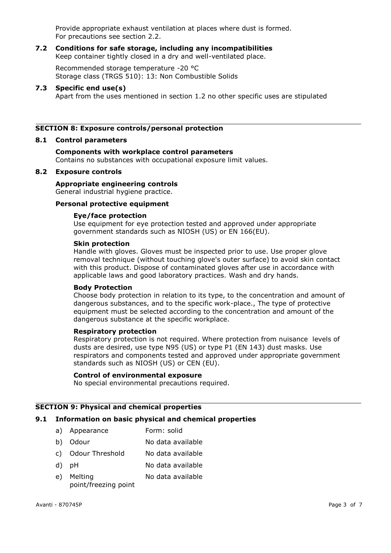Provide appropriate exhaust ventilation at places where dust is formed. For precautions see section 2.2.

#### **7.2 Conditions for safe storage, including any incompatibilities** Keep container tightly closed in a dry and well-ventilated place.

Recommended storage temperature -20 °C Storage class (TRGS 510): 13: Non Combustible Solids

### **7.3 Specific end use(s)**

Apart from the uses mentioned in section 1.2 no other specific uses are stipulated

# **SECTION 8: Exposure controls/personal protection**

### **8.1 Control parameters**

# **Components with workplace control parameters**

Contains no substances with occupational exposure limit values.

### **8.2 Exposure controls**

# **Appropriate engineering controls**

General industrial hygiene practice.

# **Personal protective equipment**

### **Eye/face protection**

Use equipment for eye protection tested and approved under appropriate government standards such as NIOSH (US) or EN 166(EU).

### **Skin protection**

Handle with gloves. Gloves must be inspected prior to use. Use proper glove removal technique (without touching glove's outer surface) to avoid skin contact with this product. Dispose of contaminated gloves after use in accordance with applicable laws and good laboratory practices. Wash and dry hands.

### **Body Protection**

Choose body protection in relation to its type, to the concentration and amount of dangerous substances, and to the specific work-place., The type of protective equipment must be selected according to the concentration and amount of the dangerous substance at the specific workplace.

### **Respiratory protection**

Respiratory protection is not required. Where protection from nuisance levels of dusts are desired, use type N95 (US) or type P1 (EN 143) dust masks. Use respirators and components tested and approved under appropriate government standards such as NIOSH (US) or CEN (EU).

### **Control of environmental exposure**

No special environmental precautions required.

# **SECTION 9: Physical and chemical properties**

# **9.1 Information on basic physical and chemical properties**

- a) Appearance Form: solid
- b) Odour No data available
- c) Odour Threshold No data available
- d) pH No data available
- e) Melting point/freezing point No data available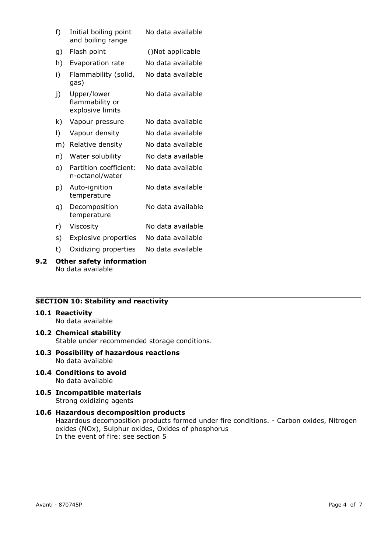| f) | Initial boiling point<br>and boiling range         | No data available |
|----|----------------------------------------------------|-------------------|
| g) | Flash point                                        | ()Not applicable  |
| h) | Evaporation rate                                   | No data available |
| i) | Flammability (solid,<br>gas)                       | No data available |
| j) | Upper/lower<br>flammability or<br>explosive limits | No data available |
| k) | Vapour pressure                                    | No data available |
| I) | Vapour density                                     | No data available |
| m) | Relative density                                   | No data available |
| n) | Water solubility                                   | No data available |
| o) | Partition coefficient:<br>n-octanol/water          | No data available |
| p) | Auto-ignition<br>temperature                       | No data available |
| q) | Decomposition<br>temperature                       | No data available |
| r) | Viscosity                                          | No data available |
| s) | Explosive properties                               | No data available |
| t) | Oxidizing properties                               | No data available |

#### **9.2 Other safety information** No data available

# **SECTION 10: Stability and reactivity**

### **10.1 Reactivity**

No data available

- **10.2 Chemical stability** Stable under recommended storage conditions.
- **10.3 Possibility of hazardous reactions** No data available
- **10.4 Conditions to avoid** No data available
- **10.5 Incompatible materials** Strong oxidizing agents

### **10.6 Hazardous decomposition products** Hazardous decomposition products formed under fire conditions. - Carbon oxides, Nitrogen oxides (NOx), Sulphur oxides, Oxides of phosphorus In the event of fire: see section 5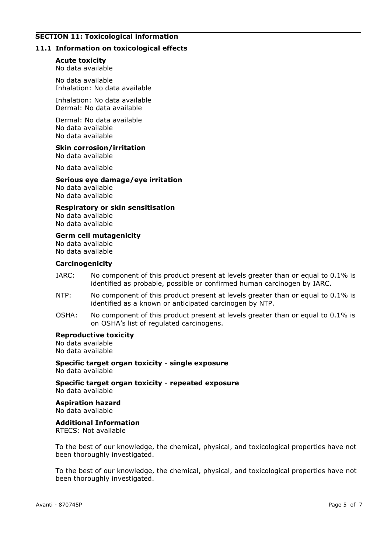# **SECTION 11: Toxicological information**

### **11.1 Information on toxicological effects**

#### **Acute toxicity**

No data available

No data available Inhalation: No data available

Inhalation: No data available Dermal: No data available

Dermal: No data available No data available No data available

# **Skin corrosion/irritation**

No data available

No data available

#### **Serious eye damage/eye irritation**

No data available No data available

#### **Respiratory or skin sensitisation**

No data available No data available

**Germ cell mutagenicity** No data available No data available

#### **Carcinogenicity**

- IARC: No component of this product present at levels greater than or equal to 0.1% is identified as probable, possible or confirmed human carcinogen by IARC.
- NTP: No component of this product present at levels greater than or equal to 0.1% is identified as a known or anticipated carcinogen by NTP.
- OSHA: No component of this product present at levels greater than or equal to 0.1% is on OSHA's list of regulated carcinogens.

### **Reproductive toxicity**

No data available No data available

**Specific target organ toxicity - single exposure** No data available

**Specific target organ toxicity - repeated exposure** No data available

**Aspiration hazard** No data available

### **Additional Information**

RTECS: Not available

To the best of our knowledge, the chemical, physical, and toxicological properties have not been thoroughly investigated.

To the best of our knowledge, the chemical, physical, and toxicological properties have not been thoroughly investigated.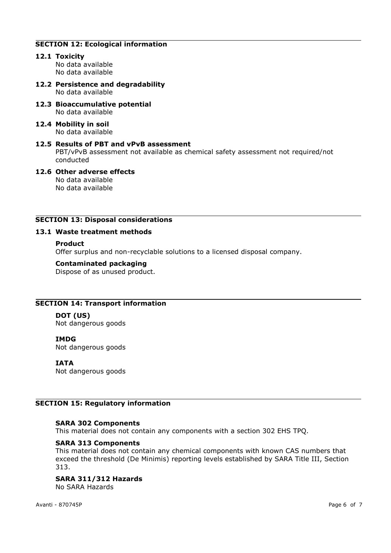# **SECTION 12: Ecological information**

### **12.1 Toxicity**

No data available No data available

- **12.2 Persistence and degradability** No data available
- **12.3 Bioaccumulative potential** No data available
- **12.4 Mobility in soil** No data available

# **12.5 Results of PBT and vPvB assessment** PBT/vPvB assessment not available as chemical safety assessment not required/not conducted

# **12.6 Other adverse effects** No data available

No data available

# **SECTION 13: Disposal considerations**

# **13.1 Waste treatment methods**

### **Product**

Offer surplus and non-recyclable solutions to a licensed disposal company.

### **Contaminated packaging**

Dispose of as unused product.

# **SECTION 14: Transport information**

# **DOT (US)**

Not dangerous goods

# **IMDG**

Not dangerous goods

# **IATA**

Not dangerous goods

# **SECTION 15: Regulatory information**

# **SARA 302 Components**

This material does not contain any components with a section 302 EHS TPQ.

# **SARA 313 Components**

This material does not contain any chemical components with known CAS numbers that exceed the threshold (De Minimis) reporting levels established by SARA Title III, Section 313.

# **SARA 311/312 Hazards**

No SARA Hazards